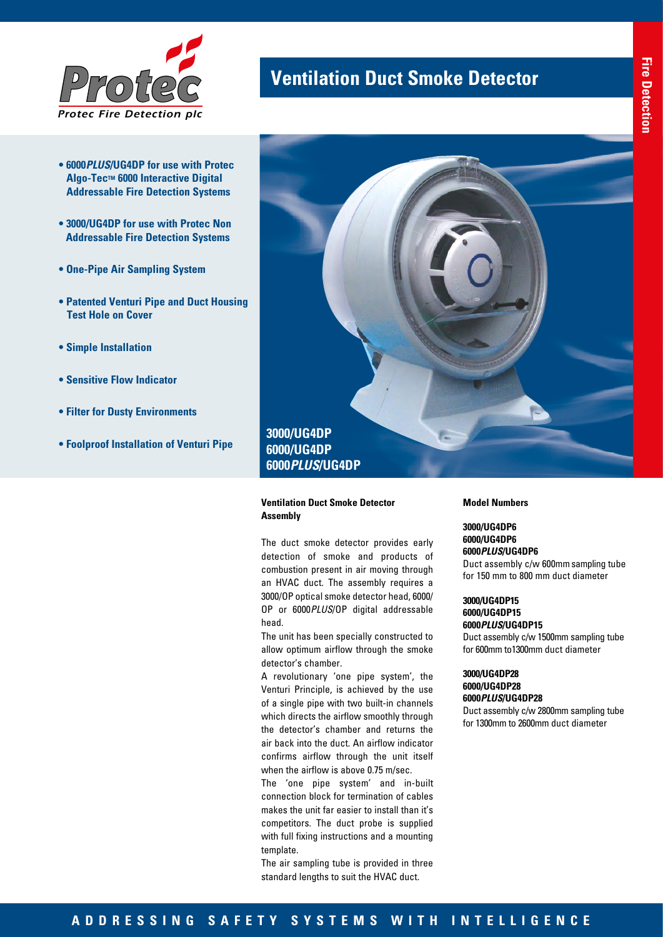

- **6000***PLUS***/UG4DP for use with Protec Algo-Tec™ 6000 Interactive Digital Addressable Fire Detection Systems**
- **3000/UG4DP for use with Protec Non Addressable Fire Detection Systems**
- **One-Pipe Air Sampling System**
- **Patented Venturi Pipe and Duct Housing Test Hole on Cover**
- **Simple Installation**
- **Sensitive Flow Indicator**
- **Filter for Dusty Environments**
- **Foolproof Installation of Venturi Pipe**



**Ventilation Duct Smoke Detector** 

### **Ventilation Duct Smoke Detector Assembly**

The duct smoke detector provides early detection of smoke and products of combustion present in air moving through an HVAC duct. The assembly requires a 3000/OP optical smoke detector head, 6000/ OP or 6000*PLUS*/OP digital addressable head.

The unit has been specially constructed to allow optimum airflow through the smoke detector's chamber.

A revolutionary 'one pipe system', the Venturi Principle, is achieved by the use of a single pipe with two built-in channels which directs the airflow smoothly through the detector's chamber and returns the air back into the duct. An airflow indicator confirms airflow through the unit itself when the airflow is above 0.75 m/sec.

The 'one pipe system' and in-built connection block for termination of cables makes the unit far easier to install than it's competitors. The duct probe is supplied with full fixing instructions and a mounting template.

The air sampling tube is provided in three standard lengths to suit the HVAC duct.

**Model Numbers**

# **3000/UG4DP6 6000/UG4DP6 6000***PLUS***/UG4DP6**

Duct assembly c/w 600mm sampling tube for 150 mm to 800 mm duct diameter

### **3000/UG4DP15 6000/UG4DP15**

**6000***PLUS***/UG4DP15** Duct assembly c/w 1500mm sampling tube for 600mm to1300mm duct diameter

**3000/UG4DP28 6000/UG4DP28 6000***PLUS***/UG4DP28**

Duct assembly c/w 2800mm sampling tube for 1300mm to 2600mm duct diameter